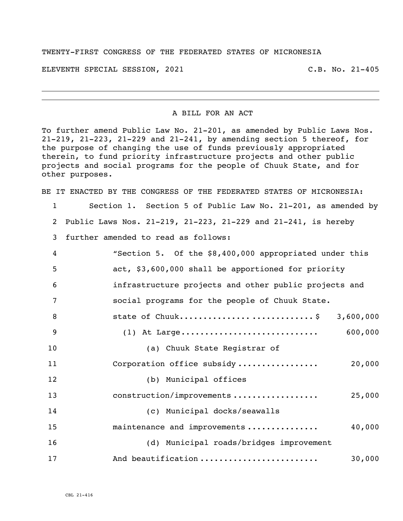## TWENTY-FIRST CONGRESS OF THE FEDERATED STATES OF MICRONESIA

ELEVENTH SPECIAL SESSION, 2021 C.B. No. 21-405

## A BILL FOR AN ACT

To further amend Public Law No. 21-201, as amended by Public Laws Nos. 21-219, 21-223, 21-229 and 21-241, by amending section 5 thereof, for the purpose of changing the use of funds previously appropriated therein, to fund priority infrastructure projects and other public projects and social programs for the people of Chuuk State, and for other purposes.

BE IT ENACTED BY THE CONGRESS OF THE FEDERATED STATES OF MICRONESIA:

 Section 1. Section 5 of Public Law No. 21-201, as amended by Public Laws Nos. 21-219, 21-223, 21-229 and 21-241, is hereby further amended to read as follows: "Section 5. Of the \$8,400,000 appropriated under this act, \$3,600,000 shall be apportioned for priority infrastructure projects and other public projects and social programs for the people of Chuuk State. 8 state of Chuuk.................................. \$ 3,600,000 (1) At Large............................. 600,000 (a) Chuuk State Registrar of Corporation office subsidy ................. 20,000 (b) Municipal offices construction/improvements .................. 25,000 (c) Municipal docks/seawalls maintenance and improvements ............... 40,000 (d) Municipal roads/bridges improvement And beautification ......................... 30,000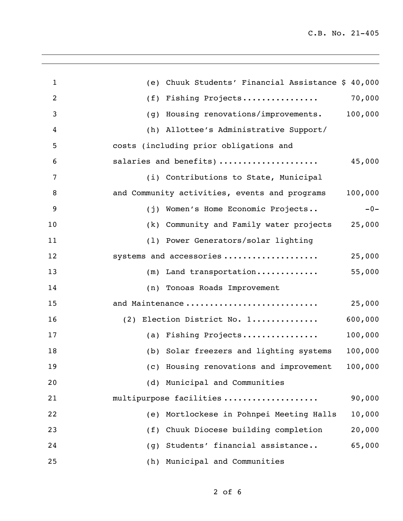| $\mathbf{1}$   | Chuuk Students' Financial Assistance \$ 40,000<br>(e)    |
|----------------|----------------------------------------------------------|
| $\overline{2}$ | 70,000<br>Fishing Projects<br>(f)                        |
| 3              | Housing renovations/improvements. 100,000<br>(g)         |
| 4              | (h) Allottee's Administrative Support/                   |
| 5              | costs (including prior obligations and                   |
| 6              | salaries and benefits)<br>45,000                         |
| 7              | (i) Contributions to State, Municipal                    |
| 8              | 100,000<br>and Community activities, events and programs |
| 9              | $-0-$<br>(j) Women's Home Economic Projects              |
| 10             | 25,000<br>(k) Community and Family water projects        |
| 11             | (1) Power Generators/solar lighting                      |
| 12             | systems and accessories<br>25,000                        |
| 13             | 55,000<br>$(m)$ Land transportation                      |
| 14             | (n) Tonoas Roads Improvement                             |
| 15             | 25,000<br>and Maintenance                                |
| 16             | 600,000<br>(2) Election District No. 1                   |
| 17             | 100,000<br>(a) Fishing Projects                          |
| 18             | 100,000<br>(b) Solar freezers and lighting systems       |
| 19             | (c) Housing renovations and improvement<br>100,000       |
| 20             | (d) Municipal and Communities                            |
| 21             | multipurpose facilities<br>90,000                        |
| 22             | (e) Mortlockese in Pohnpei Meeting Halls<br>10,000       |
| 23             | (f) Chuuk Diocese building completion<br>20,000          |
| 24             | 65,000<br>Students' financial assistance<br>(g)          |
| 25             | (h) Municipal and Communities                            |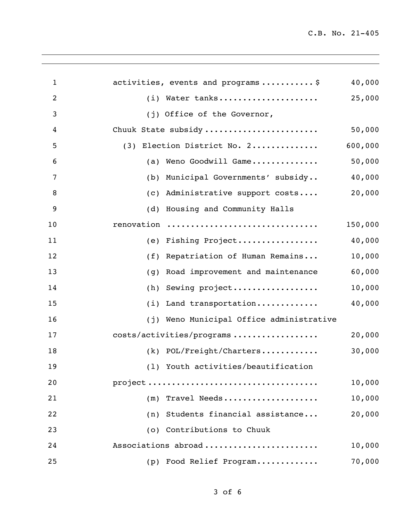C.B. No. 21-405

| $\mathbf{1}$   | activities, events and programs\$           | 40,000  |
|----------------|---------------------------------------------|---------|
| $\overline{2}$ | (i) Water tanks                             | 25,000  |
| 3              | (j) Office of the Governor,                 |         |
| 4              | Chuuk State subsidy                         | 50,000  |
| 5              | (3) Election District No. 2                 | 600,000 |
| 6              | Weno Goodwill Game<br>(a)                   | 50,000  |
| 7              | Municipal Governments' subsidy<br>(b)       | 40,000  |
| 8              | Administrative support costs<br>(c)         | 20,000  |
| 9              | Housing and Community Halls<br>(d)          |         |
| 10             | renovation                                  | 150,000 |
| 11             | (e) Fishing Project                         | 40,000  |
| 12             | Repatriation of Human Remains<br>(f)        | 10,000  |
| 13             | Road improvement and maintenance<br>(g)     | 60,000  |
| 14             | Sewing project<br>(h)                       | 10,000  |
| 15             | Land transportation<br>(i)                  | 40,000  |
| 16             | Weno Municipal Office administrative<br>(j) |         |
| 17             | costs/activities/programs                   | 20,000  |
| 18             | $(k)$ POL/Freight/Charters                  | 30,000  |
| 19             | (1) Youth activities/beautification         |         |
| 20             |                                             | 10,000  |
| 21             | (m) Travel Needs                            | 10,000  |
| 22             | (n) Students financial assistance           | 20,000  |
| 23             | (o) Contributions to Chuuk                  |         |
| 24             | Associations abroad                         | 10,000  |
| 25             | (p) Food Relief Program                     | 70,000  |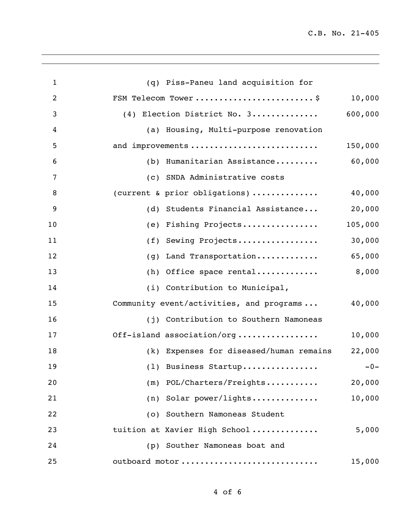C.B. No. 21-405

| $\mathbf{1}$   | (q) Piss-Paneu land acquisition for                |
|----------------|----------------------------------------------------|
| $\overline{2}$ | FSM Telecom Tower \$<br>10,000                     |
| 3              | 600,000<br>(4) Election District No. 3             |
| 4              | (a) Housing, Multi-purpose renovation              |
| 5              | and improvements<br>150,000                        |
| 6              | 60,000<br>(b) Humanitarian Assistance              |
| 7              | (c) SNDA Administrative costs                      |
| 8              | 40,000<br>(current & prior obligations)            |
| 9              | 20,000<br>(d) Students Financial Assistance        |
| 10             | 105,000<br>Fishing Projects<br>(e)                 |
| 11             | 30,000<br>Sewing Projects<br>(f)                   |
| 12             | 65,000<br>Land Transportation<br>(g)               |
| 13             | 8,000<br>$(h)$ Office space rental                 |
| 14             | (i) Contribution to Municipal,                     |
| 15             | 40,000<br>Community event/activities, and programs |
| 16             | (j) Contribution to Southern Namoneas              |
| 17             | Off-island association/org<br>10,000               |
| 18             | 22,000<br>(k) Expenses for diseased/human remains  |
| 19             | (1) Business Startup<br>$-0-$                      |
| 20             | $(m)$ POL/Charters/Freights<br>20,000              |
| 21             | $(n)$ Solar power/lights<br>10,000                 |
| 22             | (o) Southern Namoneas Student                      |
| 23             | tuition at Xavier High School<br>5,000             |
| 24             | (p) Souther Namoneas boat and                      |
| 25             | outboard motor<br>15,000                           |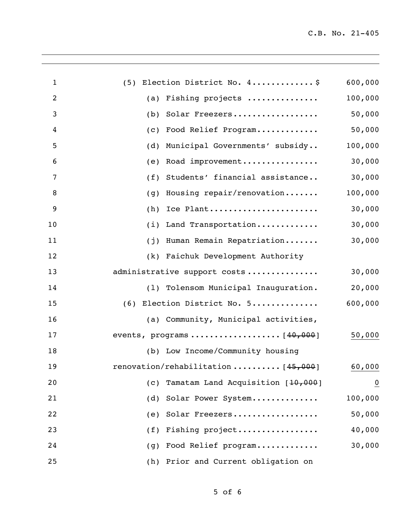| $\mathbf{1}$   | (5) Election District No. 4\$            | 600,000        |
|----------------|------------------------------------------|----------------|
| $\overline{c}$ | Fishing projects<br>(a)                  | 100,000        |
| 3              | Solar Freezers<br>(b)                    | 50,000         |
| 4              | Food Relief Program<br>(c)               | 50,000         |
| 5              | Municipal Governments' subsidy<br>(d)    | 100,000        |
| 6              | Road improvement<br>(e)                  | 30,000         |
| 7              | Students' financial assistance<br>(f)    | 30,000         |
| 8              | Housing repair/renovation<br>(g)         | 100,000        |
| 9              | Ice Plant<br>(h)                         | 30,000         |
| 10             | Land Transportation<br>(i)               | 30,000         |
| 11             | Human Remain Repatriation<br>(j)         | 30,000         |
| 12             | (k) Faichuk Development Authority        |                |
| 13             | administrative support costs             | 30,000         |
| 14             | (1) Tolensom Municipal Inauguration.     | 20,000         |
| 15             | (6) Election District No. 5              | 600,000        |
| 16             | (a) Community, Municipal activities,     |                |
| 17             |                                          | 50,000         |
| 18             | (b) Low Income/Community housing         |                |
| 19             | renovation/rehabilitation $[45,000]$     | 60,000         |
| 20             | Tamatam Land Acquisition [10,000]<br>(c) | $\overline{0}$ |
| 21             | Solar Power System<br>(d)                | 100,000        |
| 22             | Solar Freezers<br>(e)                    | 50,000         |
| 23             | Fishing project<br>(f)                   | 40,000         |
| 24             | Food Relief program<br>(g)               | 30,000         |
| 25             | Prior and Current obligation on<br>(h)   |                |